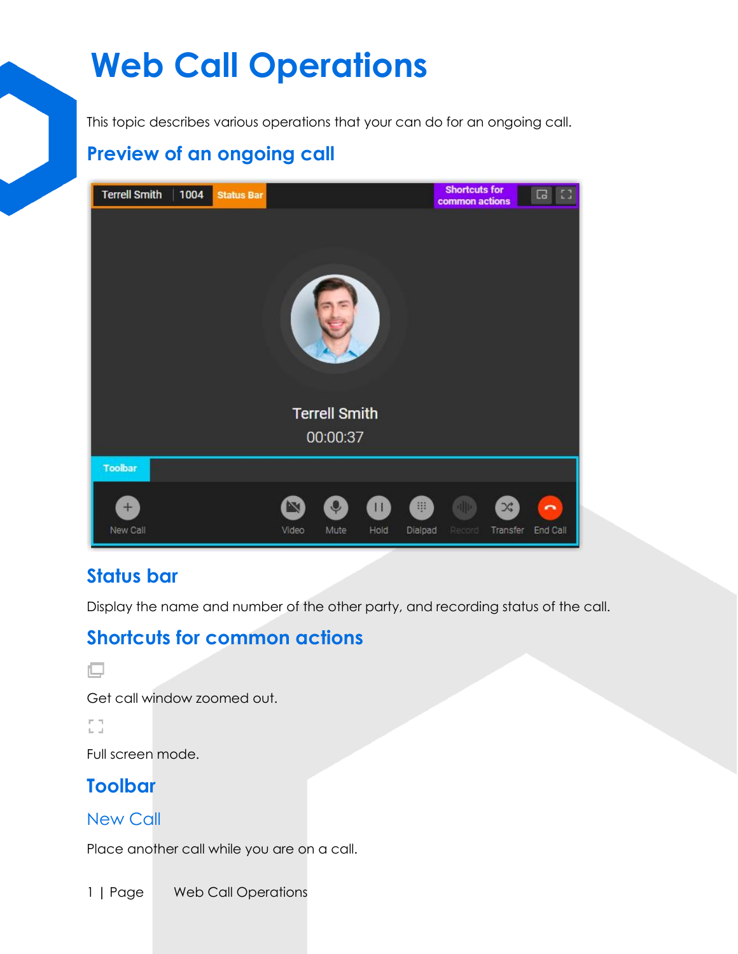# **Web Call Operations**

This topic describes various operations that your can do for an ongoing call.

# **Preview of an ongoing call**



## **Status bar**

Display the name and number of the other party, and recording status of the call.

## **Shortcuts for common actions**

```
頁
```
Get call window zoomed out.

EG.

Full screen mode.

# **Toolbar**

## New Call

Place another call while you are on a call.